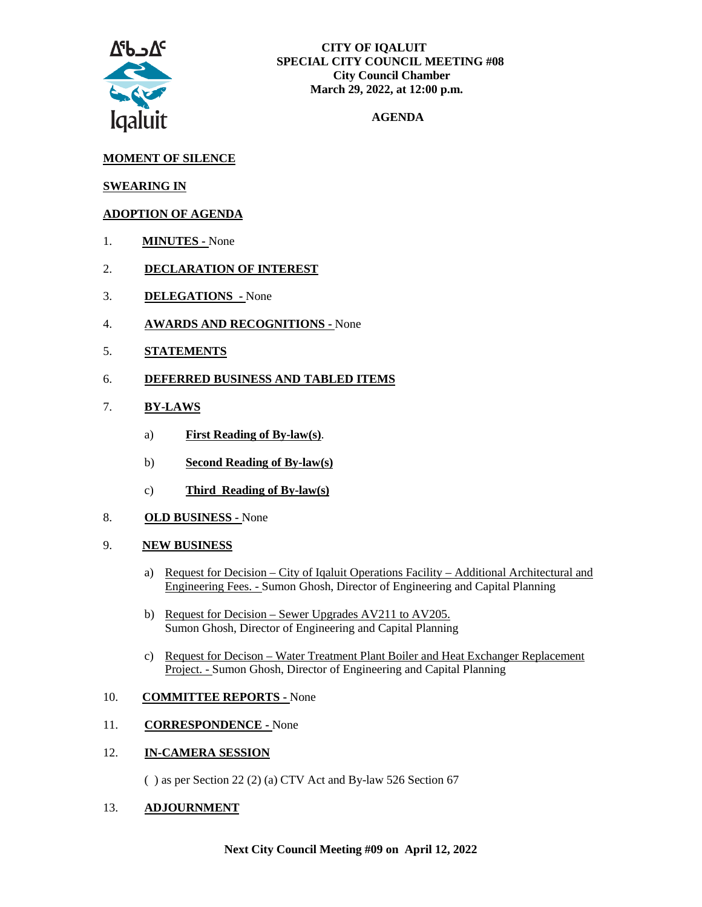

## **AGENDA**

## **MOMENT OF SILENCE**

### **SWEARING IN**

## **ADOPTION OF AGENDA**

- 1. **MINUTES -** None
- 2. **DECLARATION OF INTEREST**
- 3. **DELEGATIONS -** None
- 4. **AWARDS AND RECOGNITIONS -** None
- 5. **STATEMENTS**
- 6. **DEFERRED BUSINESS AND TABLED ITEMS**

#### 7. **BY-LAWS**

- a) **First Reading of By-law(s)**.
- b) **Second Reading of By-law(s)**
- c) **Third Reading of By-law(s)**
- 8. **OLD BUSINESS -** None
- 9. **NEW BUSINESS**
	- a) Request for Decision City of Iqaluit Operations Facility Additional Architectural and Engineering Fees. - Sumon Ghosh, Director of Engineering and Capital Planning
	- b) Request for Decision Sewer Upgrades AV211 to AV205. Sumon Ghosh, Director of Engineering and Capital Planning
	- c) Request for Decison Water Treatment Plant Boiler and Heat Exchanger Replacement Project. - Sumon Ghosh, Director of Engineering and Capital Planning

#### 10. **COMMITTEE REPORTS -** None

#### 11. **CORRESPONDENCE -** None

#### 12. **IN-CAMERA SESSION**

( ) as per Section 22 (2) (a) CTV Act and By-law 526 Section 67

#### 13. **ADJOURNMENT**